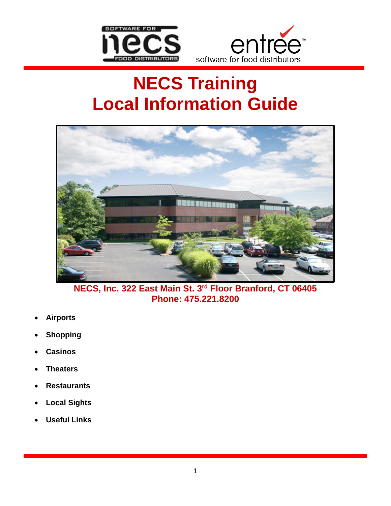



# **NECS Training Local Information Guide**



**NECS, Inc. 322 East Main St. 3rd Floor Branford, CT 06405 Phone: 475.221.8200**

- **Airports**
- **Shopping**
- **Casinos**
- **Theaters**
- **Restaurants**
- **Local Sights**
- **Useful Links**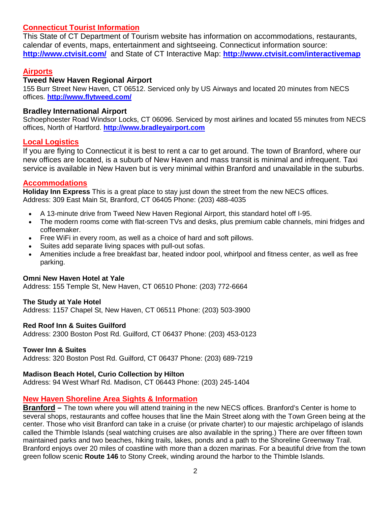## **Connecticut Tourist Information**

This State of CT Department of Tourism website has information on accommodations, restaurants, calendar of events, maps, entertainment and sightseeing. Connecticut information source: **[http://www.ctvisit.com/](http://www.ctvisit.com/S)** and State of CT Interactive Map: **<http://www.ctvisit.com/interactivemap>**

## **Airports**

### **Tweed New Haven Regional Airport**

155 Burr Street New Haven, CT 06512. Serviced only by US Airways and located 20 minutes from NECS offices. **<http://www.flytweed.com/>**

#### **Bradley International Airport**

Schoephoester Road Windsor Locks, CT 06096. Serviced by most airlines and located 55 minutes from NECS offices, North of Hartford. **[http://www.bradleyairport.com](http://www.bradleyairport.com/)**

### **Local Logistics**

If you are flying to Connecticut it is best to rent a car to get around. The town of Branford, where our new offices are located, is a suburb of New Haven and mass transit is minimal and infrequent. Taxi service is available in New Haven but is very minimal within Branford and unavailable in the suburbs.

#### **Accommodations**

**Holiday Inn Express** This is a great place to stay just down the street from the new NECS offices. Address: 309 East Main St, Branford, CT 06405 Phone: (203) 488-4035

- A 13-minute drive from Tweed New Haven Regional Airport, this standard hotel off I-95.
- The modern rooms come with flat-screen TVs and desks, plus premium cable channels, mini fridges and coffeemaker.
- Free WiFi in every room, as well as a choice of hard and soft pillows.
- Suites add separate living spaces with pull-out sofas.
- Amenities include a free breakfast bar, heated indoor pool, whirlpool and fitness center, as well as free parking.

#### **Omni New Haven Hotel at Yale**

Address: 155 Temple St, New Haven, CT 06510 Phone: (203) 772-6664

#### **The Study at Yale Hotel**

Address: 1157 Chapel St, New Haven, CT 06511 Phone: (203) 503-3900

#### **Red Roof Inn & Suites Guilford**

Address: 2300 Boston Post Rd. Guilford, CT 06437 Phone: (203) 453-0123

#### **Tower Inn & Suites**

Address: 320 Boston Post Rd. Guilford, CT 06437 Phone: (203) 689-7219

#### **Madison Beach Hotel, Curio Collection by Hilton**

Address: 94 West Wharf Rd. Madison, CT 06443 Phone: (203) 245-1404

### **New Haven Shoreline Area Sights & Information**

**Branford –** The town where you will attend training in the new NECS offices. Branford's Center is home to several shops, restaurants and coffee houses that line the Main Street along with the Town Green being at the center. Those who visit Branford can take in a cruise (or private charter) to our majestic archipelago of islands called the Thimble Islands (seal watching cruises are also available in the spring.) There are over fifteen town maintained parks and two beaches, hiking trails, lakes, ponds and a path to the Shoreline Greenway Trail. Branford enjoys over 20 miles of coastline with more than a dozen marinas. For a beautiful drive from the town green follow scenic **Route 146** to Stony Creek, winding around the harbor to the Thimble Islands.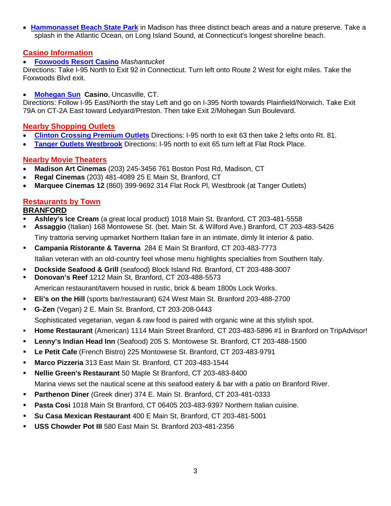• **[Hammonasset Beach State Park](http://www.ctvisit.com/Properties/Summary?propertyId=1486)** in Madison has three distinct beach areas and a nature preserve. Take a splash in the Atlantic Ocean, on Long Island Sound, at Connecticut's longest shoreline beach.

## **Casino Information**

## • **Foxwoods [Resort Casino](http://www.ctvisit.com/Properties/Summary?propertyId=1476)** *Mashantucket*

Directions: Take I-95 North to Exit 92 in Connecticut. Turn left onto Route 2 West for eight miles. Take the Foxwoods Blvd exit.

## • **[Mohegan](http://www.ctvisit.com/Properties/Summary?propertyId=2305) Sun Casino**, Uncasville, CT.

Directions: Follow I-95 East/North the stay Left and go on I-395 North towards Plainfield/Norwich. Take Exit 79A on CT-2A East toward Ledyard/Preston. Then take Exit 2/Mohegan Sun Boulevard.

## **Nearby Shopping Outlets**

- **[Clinton Crossing Premium Outlets](http://www.premiumoutlets.com/outlets/outlet.asp?id=12)** Directions: I-95 north to exit 63 then take 2 lefts onto Rt. 81.
- **[Tanger Outlets Westbrook](http://www.tangeroutlet.com/westbrook/)** Directions: I-95 north to exit 65 turn left at Flat Rock Place.

# **Nearby Movie Theaters**

- **Madison Art Cinemas** (203) 245-3456 761 Boston Post Rd, Madison, CT
- **Regal Cinemas** (203) 481-4089 25 E Main St, Branford, CT
- **Marquee Cinemas 12** (860) 399-9692 314 Flat Rock Pl, Westbrook (at Tanger Outlets)

# **Restaurants by Town**

# **BRANFORD**

- **Ashley's Ice Cream** (a great local product) 1018 Main St. Branford, CT 203-481-5558
- **Assaggio** (Italian) 168 Montowese St. (bet. Main St. & Wilford Ave.) Branford, CT 203-483-5426 Tiny trattoria serving upmarket Northern Italian fare in an intimate, dimly lit interior & patio.
- **Campania Ristorante & Taverna** 284 E Main St Branford, CT 203-483-7773 Italian veteran with an old-country feel whose menu highlights specialties from Southern Italy.
- **Dockside Seafood & Grill** (seafood) Block Island Rd. Branford, CT 203-488-3007
- **Donovan's Reef** 1212 Main St, Branford, CT 203-488-5573

American restaurant/tavern housed in rustic, brick & beam 1800s Lock Works.

- **Eli's on the Hill** (sports bar/restaurant) 624 West Main St. Branford 203-488-2700
- **G-Zen** (Vegan) 2 E. Main St. Branford, CT 203-208-0443

Sophisticated vegetarian, vegan & raw food is paired with organic wine at this stylish spot.

- **Home Restaurant** (American) 1114 Main Street Branford, CT 203-483-5896 #1 in Branford on TripAdvisor!
- **Lenny's Indian Head Inn** (Seafood) 205 S. Montowese St. Branford, CT 203-488-1500
- **Le Petit Cafe** (French Bistro) 225 Montowese St. Branford, CT 203-483-9791
- **Marco Pizzeria** 313 East Main St. Branford, CT 203-483-1544
- **Nellie Green's Restaurant** 50 Maple St Branford, CT 203-483-8400

Marina views set the nautical scene at this seafood eatery & bar with a patio on Branford River.

- **Parthenon Diner** (Greek diner) 374 E. Main St. Branford, CT 203-481-0333
- **Pasta Cosi** 1018 Main St Branford, CT 06405 203-483-9397 Northern Italian cuisine.
- **Su Casa Mexican Restaurant** 400 E Main St, Branford, CT 203-481-5001
- **USS Chowder Pot III** 580 East Main St. Branford 203-481-2356